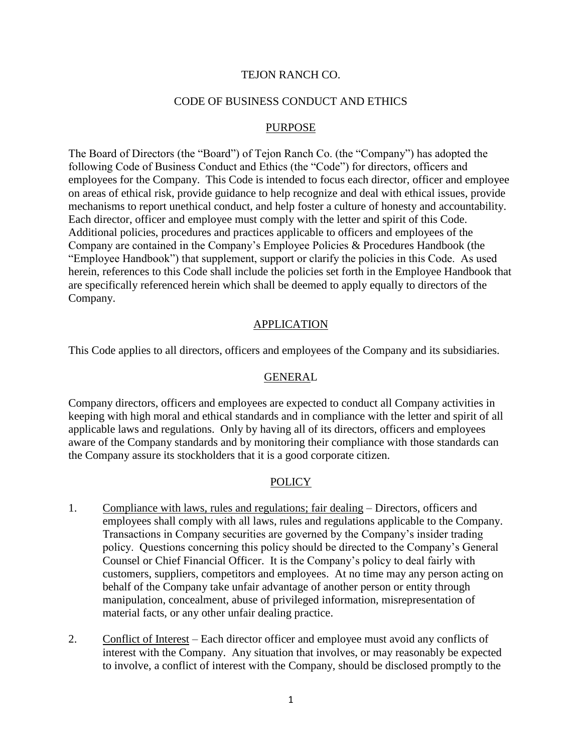#### TEJON RANCH CO.

### CODE OF BUSINESS CONDUCT AND ETHICS

## PURPOSE

The Board of Directors (the "Board") of Tejon Ranch Co. (the "Company") has adopted the following Code of Business Conduct and Ethics (the "Code") for directors, officers and employees for the Company. This Code is intended to focus each director, officer and employee on areas of ethical risk, provide guidance to help recognize and deal with ethical issues, provide mechanisms to report unethical conduct, and help foster a culture of honesty and accountability. Each director, officer and employee must comply with the letter and spirit of this Code. Additional policies, procedures and practices applicable to officers and employees of the Company are contained in the Company's Employee Policies & Procedures Handbook (the "Employee Handbook") that supplement, support or clarify the policies in this Code. As used herein, references to this Code shall include the policies set forth in the Employee Handbook that are specifically referenced herein which shall be deemed to apply equally to directors of the Company.

## **APPLICATION**

This Code applies to all directors, officers and employees of the Company and its subsidiaries.

#### GENERAL

Company directors, officers and employees are expected to conduct all Company activities in keeping with high moral and ethical standards and in compliance with the letter and spirit of all applicable laws and regulations. Only by having all of its directors, officers and employees aware of the Company standards and by monitoring their compliance with those standards can the Company assure its stockholders that it is a good corporate citizen.

## **POLICY**

- 1. Compliance with laws, rules and regulations; fair dealing Directors, officers and employees shall comply with all laws, rules and regulations applicable to the Company. Transactions in Company securities are governed by the Company's insider trading policy. Questions concerning this policy should be directed to the Company's General Counsel or Chief Financial Officer. It is the Company's policy to deal fairly with customers, suppliers, competitors and employees. At no time may any person acting on behalf of the Company take unfair advantage of another person or entity through manipulation, concealment, abuse of privileged information, misrepresentation of material facts, or any other unfair dealing practice.
- 2. Conflict of Interest Each director officer and employee must avoid any conflicts of interest with the Company. Any situation that involves, or may reasonably be expected to involve, a conflict of interest with the Company, should be disclosed promptly to the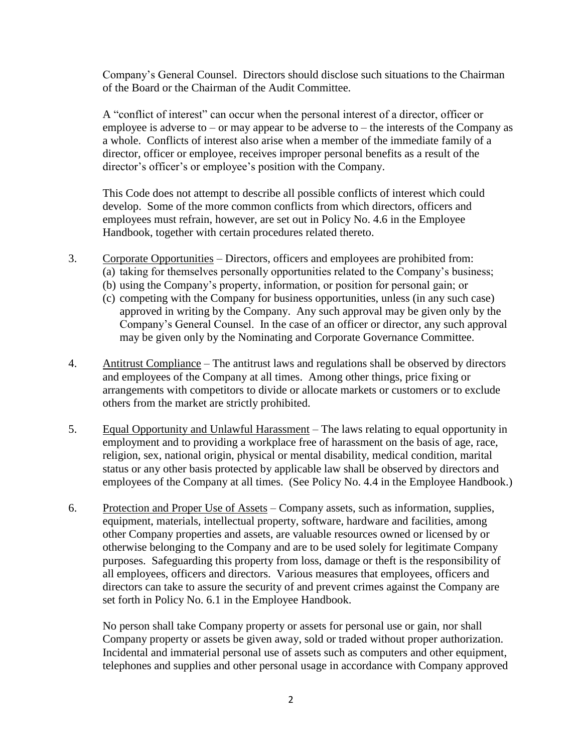Company's General Counsel. Directors should disclose such situations to the Chairman of the Board or the Chairman of the Audit Committee.

A "conflict of interest" can occur when the personal interest of a director, officer or employee is adverse to  $-$  or may appear to be adverse to  $-$  the interests of the Company as a whole. Conflicts of interest also arise when a member of the immediate family of a director, officer or employee, receives improper personal benefits as a result of the director's officer's or employee's position with the Company.

This Code does not attempt to describe all possible conflicts of interest which could develop. Some of the more common conflicts from which directors, officers and employees must refrain, however, are set out in Policy No. 4.6 in the Employee Handbook, together with certain procedures related thereto.

- 3. Corporate Opportunities Directors, officers and employees are prohibited from:
	- (a) taking for themselves personally opportunities related to the Company's business;
	- (b) using the Company's property, information, or position for personal gain; or
	- (c) competing with the Company for business opportunities, unless (in any such case) approved in writing by the Company. Any such approval may be given only by the Company's General Counsel. In the case of an officer or director, any such approval may be given only by the Nominating and Corporate Governance Committee.
- 4. Antitrust Compliance The antitrust laws and regulations shall be observed by directors and employees of the Company at all times. Among other things, price fixing or arrangements with competitors to divide or allocate markets or customers or to exclude others from the market are strictly prohibited.
- 5. Equal Opportunity and Unlawful Harassment The laws relating to equal opportunity in employment and to providing a workplace free of harassment on the basis of age, race, religion, sex, national origin, physical or mental disability, medical condition, marital status or any other basis protected by applicable law shall be observed by directors and employees of the Company at all times. (See Policy No. 4.4 in the Employee Handbook.)
- 6. Protection and Proper Use of Assets Company assets, such as information, supplies, equipment, materials, intellectual property, software, hardware and facilities, among other Company properties and assets, are valuable resources owned or licensed by or otherwise belonging to the Company and are to be used solely for legitimate Company purposes. Safeguarding this property from loss, damage or theft is the responsibility of all employees, officers and directors. Various measures that employees, officers and directors can take to assure the security of and prevent crimes against the Company are set forth in Policy No. 6.1 in the Employee Handbook.

No person shall take Company property or assets for personal use or gain, nor shall Company property or assets be given away, sold or traded without proper authorization. Incidental and immaterial personal use of assets such as computers and other equipment, telephones and supplies and other personal usage in accordance with Company approved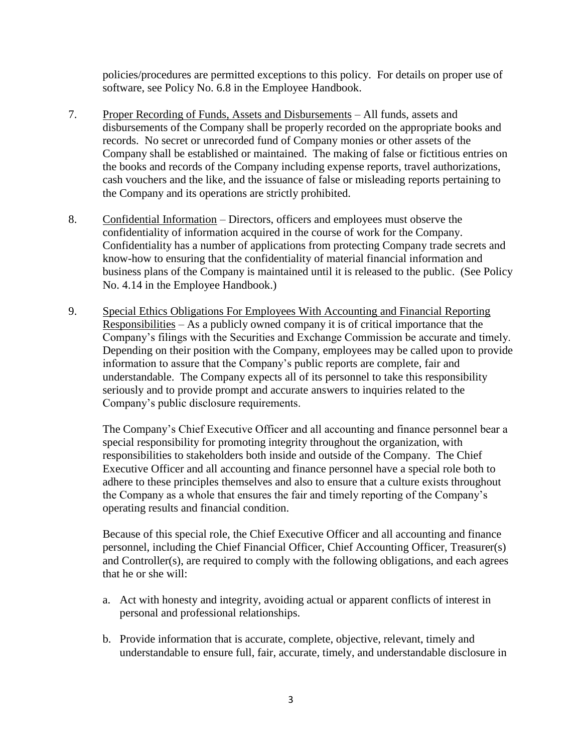policies/procedures are permitted exceptions to this policy. For details on proper use of software, see Policy No. 6.8 in the Employee Handbook.

- 7. Proper Recording of Funds, Assets and Disbursements All funds, assets and disbursements of the Company shall be properly recorded on the appropriate books and records. No secret or unrecorded fund of Company monies or other assets of the Company shall be established or maintained. The making of false or fictitious entries on the books and records of the Company including expense reports, travel authorizations, cash vouchers and the like, and the issuance of false or misleading reports pertaining to the Company and its operations are strictly prohibited.
- 8. Confidential Information Directors, officers and employees must observe the confidentiality of information acquired in the course of work for the Company. Confidentiality has a number of applications from protecting Company trade secrets and know-how to ensuring that the confidentiality of material financial information and business plans of the Company is maintained until it is released to the public. (See Policy No. 4.14 in the Employee Handbook.)
- 9. Special Ethics Obligations For Employees With Accounting and Financial Reporting Responsibilities – As a publicly owned company it is of critical importance that the Company's filings with the Securities and Exchange Commission be accurate and timely. Depending on their position with the Company, employees may be called upon to provide information to assure that the Company's public reports are complete, fair and understandable. The Company expects all of its personnel to take this responsibility seriously and to provide prompt and accurate answers to inquiries related to the Company's public disclosure requirements.

The Company's Chief Executive Officer and all accounting and finance personnel bear a special responsibility for promoting integrity throughout the organization, with responsibilities to stakeholders both inside and outside of the Company. The Chief Executive Officer and all accounting and finance personnel have a special role both to adhere to these principles themselves and also to ensure that a culture exists throughout the Company as a whole that ensures the fair and timely reporting of the Company's operating results and financial condition.

Because of this special role, the Chief Executive Officer and all accounting and finance personnel, including the Chief Financial Officer, Chief Accounting Officer, Treasurer(s) and Controller(s), are required to comply with the following obligations, and each agrees that he or she will:

- a. Act with honesty and integrity, avoiding actual or apparent conflicts of interest in personal and professional relationships.
- b. Provide information that is accurate, complete, objective, relevant, timely and understandable to ensure full, fair, accurate, timely, and understandable disclosure in